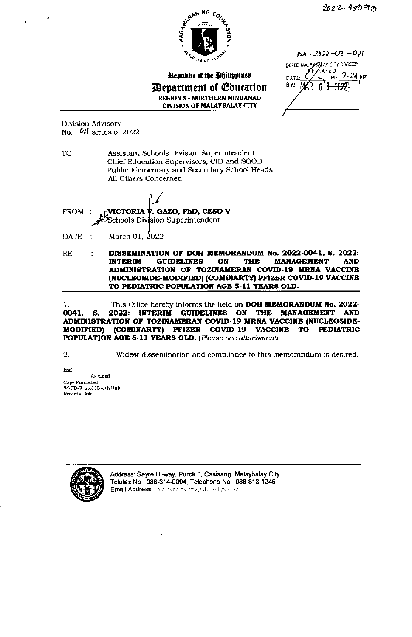

TIME: 3:24pm

 $DA - 2022 - CD - 021$ DEPED MALAXER AY CITY DIVISION KEL∕EASED

DATE BY:



Republic of the Philippines *Department of Coucation* **REGION X - NORTHERN MINDANAO** DIVISION OF MALAYBALAY CITY

Division Advisory No.  $0\nu l$  series of 2022

TO Assistant Schools Division Superintendent ÷ Chief Education Supervisors, CID and SGOD Public Elementary and Secondary School Heads All Others Concerned

VICTORIA Y. GAZO, PhD, CESO V FROM: Schools Division Superintendent

**DATE** March 01, 2022  $\mathbb{R}^2$ 

DISSEMINATION OF DOH MEMORANDUM No. 2022-0041, S. 2022:  $RE$ ÷ **GUIDELINES** ON **THE MANAGEMENT INTERIM AND** ADMINISTRATION OF TOZINAMERAN COVID-19 MRNA VACCINE (NUCLEOSIDE-MODIFIED) (COMINARTY) PFIZER COVID-19 VACCINE TO PEDIATRIC POPULATION AGE 5-11 YEARS OLD.

This Office hereby informs the field on DOH MEMORANDUM No. 2022- $\mathbf{1}$ . 2022: INTERIM GUIDELINES ON THE MANAGEMENT 0041. **AND** S. ADMINISTRATION OF TOZINAMERAN COVID-19 MRNA VACCINE (NUCLEOSIDE-MODIFIED) (COMINARTY) PFIZER COVID-19 **VACCINE TO PEDIATRIC** POPULATION AGE 5-11 YEARS OLD. (Please see attachment).

2.

Widest dissemination and compliance to this memorandum is desired.

Encl.: As stated Copy Furnished: SGOD-School Health Unit Records Unit



Address: Sayre Hi-way, Purok 6, Casisang, Malaybalay City Telefax No.: 088-314-0094; Telephone No.: 088-813-1246 Email Address: malaypalay.city@depred.gov.ph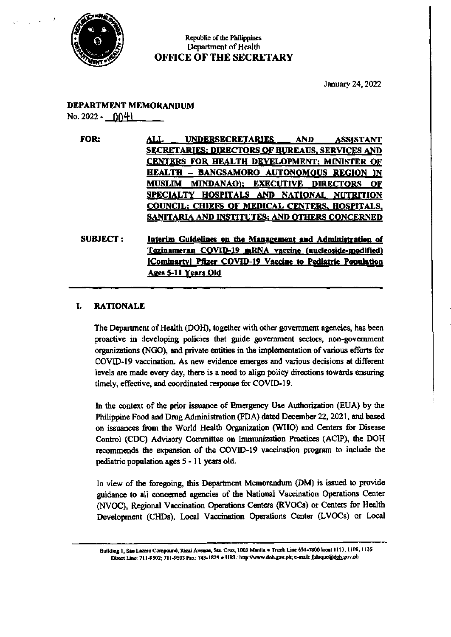

## Republic of the Philippines Department of Health **OFFICE OF THE SECRETARY**

January 24, 2022

# **DEPARTMENT MEMORANDUM**

No. 2022 -  $004$ 

FOR: ALL. **UNDERSECRETARIES AND** ASSISTANT **SECRETARIES: DIRECTORS OF BUREAUS, SERVICES AND** CENTERS FOR HEALTH DEVELOPMENT; MINISTER OF **HEALTH - BANGSAMORO AUTONOMOUS REGION IN** MUSLIM MINDANAO); EXECUTIVE DIRECTORS OF SPECIALTY HOSPITALS AND NATIONAL NUTRITION COUNCIL; CHIEFS OF MEDICAL CENTERS, HOSPITALS, **SANITARIA AND INSTITUTES; AND OTHERS CONCERNED** Interim Guidelines on the Management and Administration of **SUBJECT:** 

Tozinameran COVID-19 mRNA vaccine (nucleoside-modified) [Cominarty] Pfizer COVID-19 Vaccine to Pediatric Population Ages 5-11 Years Old

#### **RATIONALE** I.

The Department of Health (DOH), together with other government agencies, has been proactive in developing policies that guide government sectors, non-government organizations (NGO), and private entities in the implementation of various efforts for COVID-19 vaccination. As new evidence emerges and various decisions at different levels are made every day, there is a need to align policy directions towards ensuring timely, effective, and coordinated response for COVID-19.

In the context of the prior issuance of Emergency Use Authorization (EUA) by the Philippine Food and Drug Administration (FDA) dated December 22, 2021, and based on issuances from the World Health Organization (WHO) and Centers for Disease Control (CDC) Advisory Committee on Immunization Practices (ACIP), the DOH recommends the expansion of the COVID-19 vaccination program to include the pediatric population ages 5 - 11 years old.

In view of the foregoing, this Department Memorandum (DM) is issued to provide guidance to all concerned agencies of the National Vaccination Operations Center (NVOC), Regional Vaccination Operations Centers (RVOCs) or Centers for Health Development (CHDs), Local Vaccination Operations Center (LVOCs) or Local

Building 1, San Lazaro Compound, Rizal Avenue, Sta. Cruz, 1003 Manila . Trunk Line 651-7800 local 1113, 1108, 1135 Direct Line: 711-9502; 711-9503 Fax: 743-1829 . URL: http://www.doh.gov.ph; e-mail: fiduque@doh.gov.ph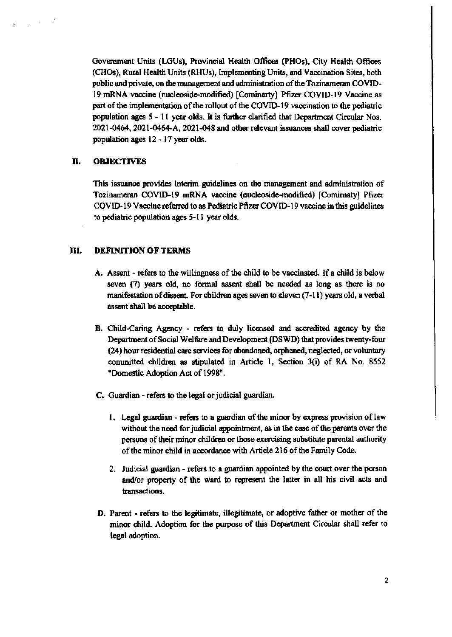Government Units (LGUs), Provincial Health Offices (PHOs), City Health Offices (CHOs), Rural Health Units (RHUs), Implementing Units, and Vaccination Sites, both public and private, on the management and administration of the Tozinameran COVID-19 mRNA vaccine (nucleoside-modified) [Cominarty] Pfizer COVID-19 Vaccine as part of the implementation of the rollout of the COVID-19 vaccination to the pediatric population ages 5 - 11 year olds. It is further clarified that Department Circular Nos. 2021-0464, 2021-0464-A, 2021-048 and other relevant issuances shall cover pediatric population ages 12 - 17 year olds.

#### II. **OBJECTIVES**

This issuance provides interim guidelines on the management and administration of Tozinameran COVID-19 mRNA vaccine (nucleoside-modified) [Comirnaty] Pfizer COVID-19 Vaccine referred to as Pediatric Pfizer COVID-19 vaccine in this guidelines to pediatric population ages 5-11 year olds.

#### III. **DEFINITION OF TERMS**

- A. Assent refers to the willingness of the child to be vaccinated. If a child is below seven (7) years old, no formal assent shall be needed as long as there is no manifestation of dissent. For children ages seven to eleven (7-11) years old, a verbal assent shall be acceptable.
- B. Child-Caring Agency refers to duly licensed and accredited agency by the Department of Social Welfare and Development (DSWD) that provides twenty-four (24) hour residential care services for abandoned, orphaned, neglected, or voluntary committed children as stipulated in Article 1, Section 3(i) of RA No. 8552 "Domestic Adoption Act of 1998".
- C. Guardian refers to the legal or judicial guardian.
	- 1. Legal guardian refers to a guardian of the minor by express provision of law without the need for judicial appointment, as in the case of the parents over the persons of their minor children or those exercising substitute parental authority of the minor child in accordance with Article 216 of the Family Code.
	- 2. Judicial guardian refers to a guardian appointed by the court over the person and/or property of the ward to represent the latter in all his civil acts and transactions.
- D. Parent refers to the legitimate, illegitimate, or adoptive father or mother of the minor child. Adoption for the purpose of this Department Circular shall refer to legal adoption.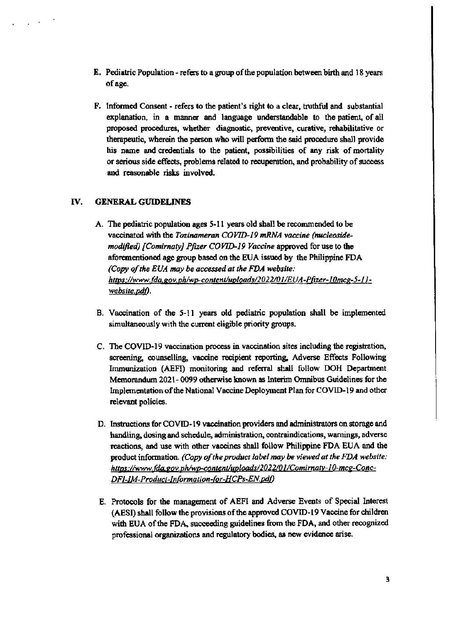- **E.** Pediatric Population refers to a group of the population between birth and 18 years of age.
- F. Informed Consent refers to the patient's right to a clear, truthful and substantial explanation, in a manner and language understandable to the patient, of all proposed procedures, whether diagnostic, preventive, curative, rehabilitative or therapeutic, wherein the person who will perform the said procedure shall provide his name and credentials to the patient, possibilities of any risk of mortality or serious side effects, problems related to recuperation, and probability of success and reasonable risks involved.

#### IV. **GENERAL GUIDELINES**

- A. The pediatric population ages 5-11 years old shall be recommended to be vaccinated with the Tozinameran COVID-19 mRNA vaccine (nucleosidemodified) [Comirnaty] Pfizer COVID-19 Vaccine approved for use to the aforementioned age group based on the EUA issued by the Philippine FDA (Copy of the EUA may be accessed at the FDA website: https://www.fda.gov.ph/wp-content/uploads/2022/01/EUA-Pfizer-10mcg-5-11website,pdf).
- B. Vaccination of the 5-11 years old pediatric population shall be implemented simultaneously with the current eligible priority groups.
- C. The COVID-19 vaccination process in vaccination sites including the registration, screening, counselling, vaccine recipient reporting, Adverse Effects Following Immunization (AEFI) monitoring and referral shall follow DOH Department Memorandum 2021-0099 otherwise known as Interim Omnibus Guidelines for the Implementation of the National Vaccine Deployment Plan for COVID-19 and other relevant policies.
- D. Instructions for COVID-19 vaccination providers and administrators on storage and handling, dosing and schedule, administration, contraindications, warnings, adverse reactions, and use with other vaccines shall follow Philippine FDA EUA and the product information. (Copy of the product label may be viewed at the FDA website: https://www.fda.gov.ph/wp-content/uploads/2022/01/Comirnaty-10-mcg-Conc-DF1-IM-Product-Information-for-HCPs-EN.pdf)
- E. Protocols for the management of AEFI and Adverse Events of Special Interest (AESI) shall follow the provisions of the approved COVID-19 Vaccine for children with EUA of the FDA, succeeding guidelines from the FDA, and other recognized professional organizations and regulatory bodies, as new evidence arise.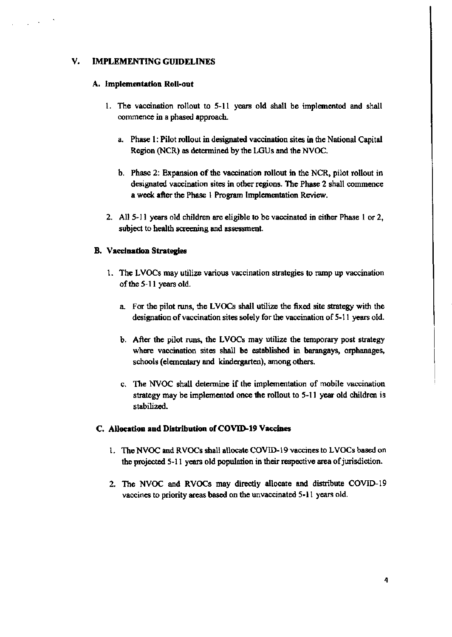#### V. **IMPLEMENTING GUIDELINES**

#### A. Implementation Roll-out

- 1. The vaccination rollout to 5-11 years old shall be implemented and shall commence in a phased approach.
	- a. Phase 1: Pilot rollout in designated vaccination sites in the National Capital Region (NCR) as determined by the LGUs and the NVOC.
	- b. Phase 2: Expansion of the vaccination rollout in the NCR, pilot rollout in designated vaccination sites in other regions. The Phase 2 shall commence a week after the Phase 1 Program Implementation Review.
- 2. All 5-11 years old children are eligible to be vaccinated in either Phase 1 or 2, subject to health screening and assessment.

#### **B.** Vaccination Strategies

- 1. The LVOCs may utilize various vaccination strategies to ramp up vaccination of the 5-11 years old.
	- a. For the pilot runs, the LVOCs shall utilize the fixed site strategy with the designation of vaccination sites solely for the vaccination of 5-11 years old.
	- b. After the pilot runs, the LVOCs may utilize the temporary post strategy where vaccination sites shall be established in barangays, orphanages, schools (elementary and kindergarten), among others.
	- c. The NVOC shall determine if the implementation of mobile vaccination strategy may be implemented once the rollout to 5-11 year old children is stabilized.

# C. Allocation and Distribution of COVID-19 Vaccines

- 1. The NVOC and RVOCs shall allocate COVID-19 vaccines to LVOCs based on the projected 5-11 years old population in their respective area of jurisdiction.
- 2. The NVOC and RVOCs may directly allocate and distribute COVID-19 vaccines to priority areas based on the unvaccinated 5-11 years old.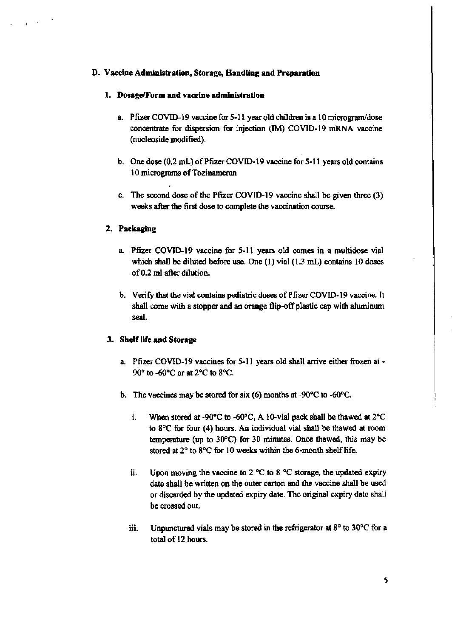## D. Vaccine Administration, Storage, Handling and Preparation

## 1. Dosage/Form and vaccine administration

- a. Pfizer COVID-19 vaccine for 5-11 year old children is a 10 microgram/dose concentrate for dispersion for injection (IM) COVID-19 mRNA vaccine (nucleoside modified).
- b. One dose (0.2 mL) of Pfizer COVID-19 vaccine for 5-11 years old contains 10 micrograms of Tozinameran
- c. The second dose of the Pfizer COVID-19 vaccine shall be given three (3) weeks after the first dose to complete the vaccination course.

# 2. Packaging

- a. Pfizer COVID-19 vaccine for 5-11 years old comes in a multidose vial which shall be diluted before use. One  $(1)$  vial  $(1.3 \text{ mL})$  contains 10 doses of 0.2 ml after dilution.
- b. Verify that the vial contains pediatric doses of Pfizer COVID-19 vaccine. It shall come with a stopper and an orange flip-off plastic cap with aluminum seal.

### 3. Shelf life and Storage

- a. Pfizer COVID-19 vaccines for 5-11 years old shall arrive either frozen at - $90^\circ$  to -60 $^\circ$ C or at 2 $^\circ$ C to 8 $^\circ$ C.
- b. The vaccines may be stored for six (6) months at -90 $^{\circ}$ C to -60 $^{\circ}$ C.
	- $\mathbf{i}$ . When stored at -90 $\degree$ C to -60 $\degree$ C, A 10-vial pack shall be thawed at 2 $\degree$ C to 8°C for four (4) hours. An individual vial shall be thawed at room temperature (up to 30°C) for 30 minutes. Once thawed, this may be stored at 2° to 8°C for 10 weeks within the 6-month shelf life.
	- Upon moving the vaccine to 2  $^{\circ}$ C to 8  $^{\circ}$ C storage, the updated expiry ii. date shall be written on the outer carton and the vaccine shall be used or discarded by the updated expiry date. The original expiry date shall be crossed out.
	- Unpunctured vials may be stored in the refrigerator at  $8^{\circ}$  to 30 $^{\circ}$ C for a ш. total of 12 hours.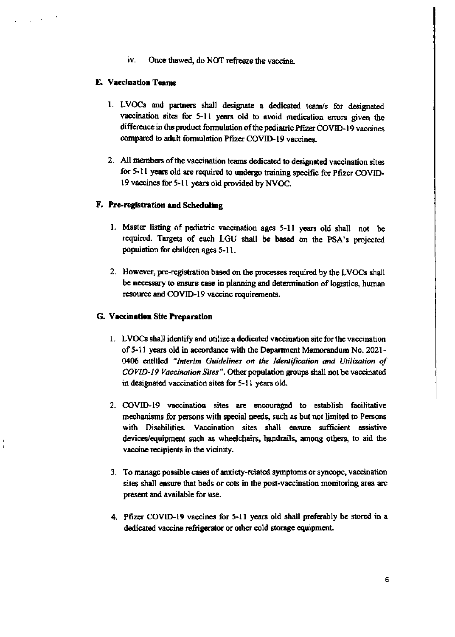iv. Once thawed, do NOT refreeze the vaccine.

#### E. Vaccination Teams

- 1. LVOCs and partners shall designate a dedicated team/s for designated vaccination sites for 5-11 years old to avoid medication errors given the difference in the product formulation of the pediatric Pfizer COVID-19 vaccines compared to adult formulation Pfizer COVID-19 vaccines.
- 2. All members of the vaccination teams dedicated to designated vaccination sites for 5-11 years old are required to undergo training specific for Pfizer COVID-19 vaccines for 5-11 years old provided by NVOC.

#### F. Pre-registration and Scheduling

- 1. Master listing of pediatric vaccination ages 5-11 years old shall not be required. Targets of each LGU shall be based on the PSA's projected population for children ages 5-11.
- 2. However, pre-registration based on the processes required by the LVOCs shall be necessary to ensure case in planning and determination of logistics, human resource and COVID-19 vaccine requirements.

#### G. Vaccination Site Preparation

- 1. LVOCs shall identify and utilize a dedicated vaccination site for the vaccination of 5-11 years old in accordance with the Department Memorandum No. 2021-0406 entitled "Interim Guidelines on the Identification and Utilization of COVID-19 Vaccination Sites". Other population groups shall not be vaccinated in designated vaccination sites for 5-11 years old.
- 2. COVID-19 vaccination sites are encouraged to establish facilitative mechanisms for persons with special needs, such as but not limited to Persons with Disabilities. Vaccination sites shall ensure sufficient assistive devices/equipment such as wheelchairs, handrails, among others, to aid the vaccine recipients in the vicinity.
- 3. To manage possible cases of anxiety-related symptoms or syncope, vaccination sites shall ensure that beds or cots in the post-vaccination monitoring area are present and available for use.
- 4. Pfizer COVID-19 vaccines for 5-11 years old shall preferably be stored in a dedicated vaccine refrigerator or other cold storage equipment.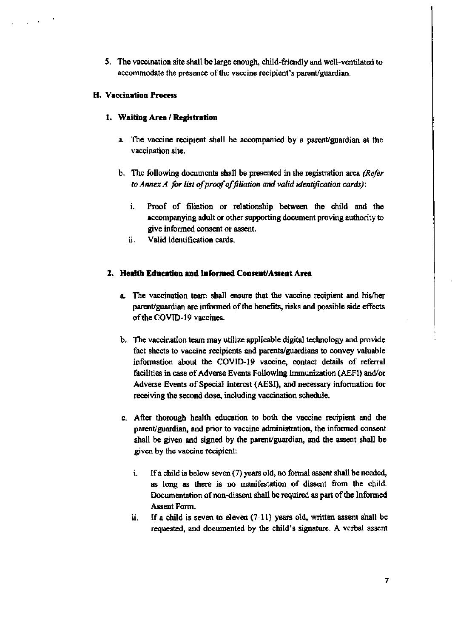5. The vaccination site shall be large enough, child-friendly and well-ventilated to accommodate the presence of the vaccine recipient's parent/guardian.

## **H. Vaccination Process**

# 1. Waiting Area / Registration

- a. The vaccine recipient shall be accompanied by a parent/guardian at the vaccination site.
- b. The following documents shall be presented in the registration area (Refer to Annex A for list of proof of filiation and valid identification cards):
	- i. Proof of filiation or relationship between the child and the accompanying adult or other supporting document proving authority to give informed consent or assent.
	- ii. Valid identification cards.

### 2. Health Education and Informed Consent/Assent Area

- a. The vaccination team shall ensure that the vaccine recipient and his/her parent/guardian are informed of the benefits, risks and possible side effects of the COVID-19 vaccines.
- b. The vaccination team may utilize applicable digital technology and provide fact sheets to vaccine recipients and parents/guardians to convey valuable information about the COVID-19 vaccine, contact details of referral facilities in case of Adverse Events Following Immunization (AEFI) and/or Adverse Events of Special Interest (AESI), and necessary information for receiving the second dose, including vaccination schedule.
- c. After thorough health education to both the vaccine recipient and the parent/guardian, and prior to vaccine administration, the informed consent shall be given and signed by the parent/guardian, and the assent shall be given by the vaccine recipient:
	- If a child is below seven (7) years old, no formal assent shall be needed, i. as long as there is no manifestation of dissent from the child. Documentation of non-dissent shall be required as part of the Informed Assent Form.
	- ii. If a child is seven to eleven  $(7-11)$  years old, written assent shall be requested, and documented by the child's signature. A verbal assent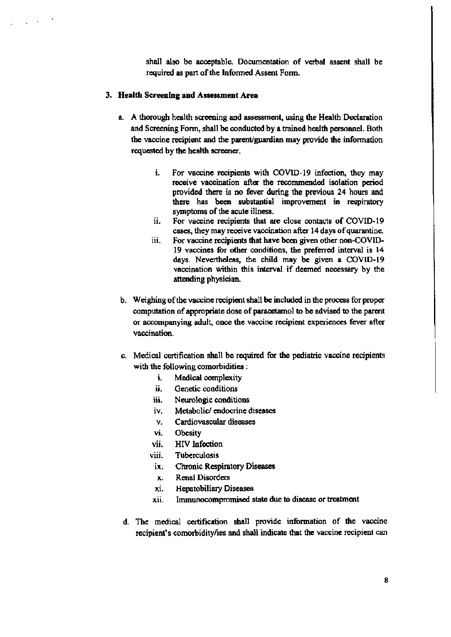shall also be acceptable. Documentation of verbal assent shall be required as part of the Informed Assent Form.

#### 3. Health Screening and Assessment Area

- a. A thorough health screening and assessment, using the Health Declaration and Screening Form, shall be conducted by a trained health personnel. Both the vaccine recipient and the parent/guardian may provide the information requested by the health screener.
	- i. For vaccine recipients with COVID-19 infection, they may receive vaccination after the recommended isolation period provided there is no fever during the previous 24 hours and there has been substantial improvement in respiratory symptoms of the acute illness.
	- ii. For vaccine recipients that are close contacts of COVID-19 cases, they may receive vaccination after 14 days of quarantine.
	- iii. For vaccine recipients that have been given other non-COVID-19 vaccines for other conditions, the preferred interval is 14 days. Nevertheless, the child may be given a COVID-19 vaccination within this interval if deemed necessary by the attending physician.
- b. Weighing of the vaccine recipient shall be included in the process for proper computation of appropriate dose of paracetamol to be advised to the parent or accompanying adult, once the vaccine recipient experiences fever after vaccination.
- c. Medical certification shall be required for the pediatric vaccine recipients with the following comorbidities :
	- i. Medical complexity
	- ii. Genetic conditions
	- iii. Neurologic conditions
	- iv. Metabolic/endocrine diseases
	- ν. Cardiovascular diseases
	- vi. Obesity
	- HIV Infection vii.
	- viii. Tuberculosis
		- ix. Chronic Respiratory Diseases
		- **Renal Disorders** x.
		- xi. **Hepatobiliary Diseases**
	- Immunocompromised state due to disease or treatment xii.
- d. The medical certification shall provide information of the vaccine recipient's comorbidity/ies and shall indicate that the vaccine recipient can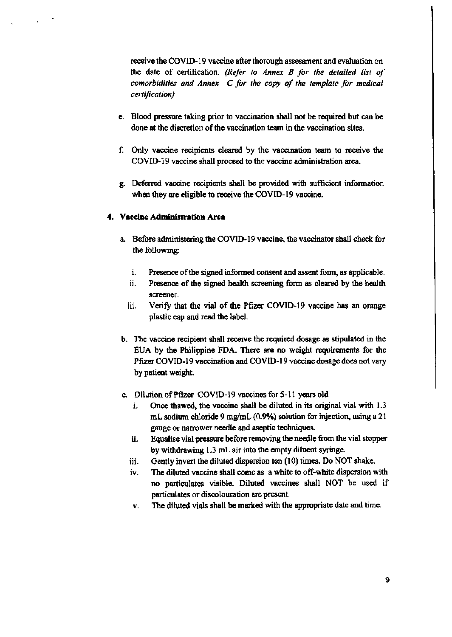receive the COVID-19 vaccine after thorough assessment and evaluation on the date of certification. (Refer to Annex B for the detailed list of comorbidities and Annex C for the copy of the template for medical certification)

- e. Blood pressure taking prior to vaccination shall not be required but can be done at the discretion of the vaccination team in the vaccination sites.
- f. Only vaccine recipients cleared by the vaccination team to receive the COVID-19 vaccine shall proceed to the vaccine administration area.
- g. Deferred vaccine recipients shall be provided with sufficient information when they are eligible to receive the COVID-19 vaccine.

# 4. Vaccine Administration Area

- a. Before administering the COVID-19 vaccine, the vaccinator shall check for the following:
	- i. Presence of the signed informed consent and assent form, as applicable.
	- ii. Presence of the signed health screening form as cleared by the health screener.
	- iii. Verify that the vial of the Pfizer COVID-19 vaccine has an orange plastic cap and read the label.
- b. The vaccine recipient shall receive the required dosage as stipulated in the EUA by the Philippine FDA. There are no weight requirements for the Pfizer COVID-19 vaccination and COVID-19 vaccine dosage does not vary by patient weight.
- c. Dilution of Pfizer COVID-19 vaccines for 5-11 years old
	- Once thawed, the vaccine shall be diluted in its original vial with 1.3 i. mL sodium chloride 9 mg/mL (0.9%) solution for injection, using a 21 gauge or narrower needle and aseptic techniques.
	- ü. Equalise vial pressure before removing the needle from the vial stopper by withdrawing 1.3 mL air into the empty diluent syringe.
	- Gently invert the diluted dispersion ten (10) times. Do NOT shake. iii.
	- The diluted vaccine shall come as a white to off-white dispersion with iv. no particulates visible. Diluted vaccines shall NOT be used if particulates or discolouration are present.
	- The diluted vials shall be marked with the appropriate date and time. v.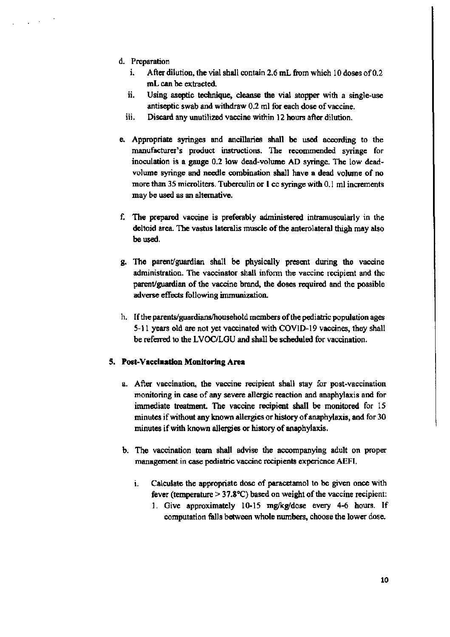- d. Preparation
	- i. After dilution, the vial shall contain 2.6 mL from which 10 doses of  $0.2$ mL can be extracted.
	- ii. Using aseptic technique, cleanse the vial stopper with a single-use antiseptic swab and withdraw 0.2 ml for each dose of vaccine.
	- iii. Discard any unutilized vaccine within 12 hours after dilution.
- e. Appropriate syringes and ancillaries shall be used according to the manufacturer's product instructions. The recommended syringe for inoculation is a gauge 0.2 low dead-volume AD syringe. The low deadvolume syringe and needle combination shall have a dead volume of no more than 35 microliters. Tuberculin or 1 cc syringe with 0.1 ml increments may be used as an alternative.
- f. The prepared vaccine is preferably administered intramuscularly in the deltoid area. The vastus lateralis muscle of the anterolateral thigh may also be used.
- g. The parent/guardian shall be physically present during the vaccine administration. The vaccinator shall inform the vaccine recipient and the parent/guardian of the vaccine brand, the doses required and the possible adverse effects following immunization.
- h. If the parents/guardians/household members of the pediatric population ages 5-11 years old are not yet vaccinated with COVID-19 vaccines, they shall be referred to the LVOC/LGU and shall be scheduled for vaccination.

### 5. Post-Vaccination Monitoring Area

- a. After vaccination, the vaccine recipient shall stay for post-vaccination monitoring in case of any severe allergic reaction and anaphylaxis and for immediate treatment. The vaccine recipient shall be monitored for 15 minutes if without any known allergies or history of anaphylaxis, and for 30 minutes if with known allergies or history of anaphylaxis.
- b. The vaccination team shall advise the accompanying adult on proper management in case pediatric vaccine recipients experience AEFI.
	- i. Calculate the appropriate dose of paracetamol to be given once with fever (temperature  $> 37.8$ °C) based on weight of the vaccine recipient:
		- 1. Give approximately 10-15 mg/kg/dose every 4-6 hours. If computation falls between whole numbers, choose the lower dose.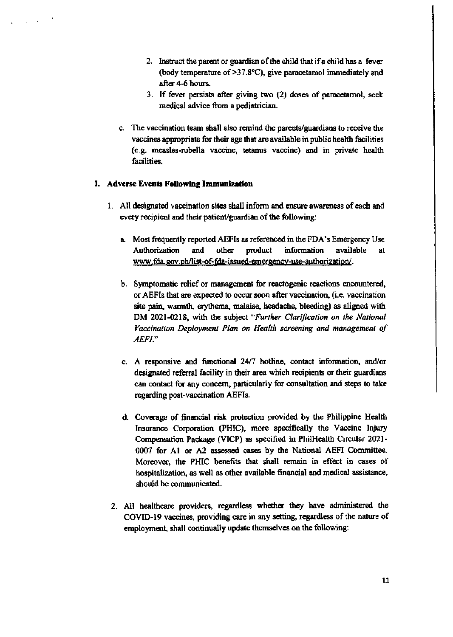- 2. Instruct the parent or guardian of the child that if a child has a fever (body temperature of  $>37.8$ °C), give paracetamol immediately and after 4-6 hours.
- 3. If fever persists after giving two (2) doses of paracetamol, seek medical advice from a pediatrician.
- c. The vaccination team shall also remind the parents/guardians to receive the vaccines appropriate for their age that are available in public health facilities (e.g. measles-rubella vaccine, tetanus vaccine) and in private health facilities.

## I. Adverse Events Following Immunization

- 1. All designated vaccination sites shall inform and ensure awareness of each and every recipient and their patient/guardian of the following:
	- a. Most frequently reported AEFIs as referenced in the FDA's Emergency Use product Authorization and other information available  $\mathbf{a}$ www.fda.gov.ph/list-of-fda-issued-emergency-use-authorization/.
	- b. Symptomatic relief or management for reactogenic reactions encountered, or AEFIs that are expected to occur soon after vaccination, (i.e. vaccination site pain, warmth, erythema, malaise, headache, bleeding) as aligned with DM 2021-0218, with the subject "Further Clarification on the National Vaccination Deployment Plan on Health screening and management of AEFI."
	- c. A responsive and functional 24/7 hotline, contact information, and/or designated referral facility in their area which recipients or their guardians can contact for any concern, particularly for consultation and steps to take regarding post-vaccination AEFIs.
	- d. Coverage of financial risk protection provided by the Philippine Health Insurance Corporation (PHIC), more specifically the Vaccine Injury Compensation Package (VICP) as specified in PhilHealth Circular 2021-0007 for A1 or A2 assessed cases by the National AEFI Committee. Moreover, the PHIC benefits that shall remain in effect in cases of hospitalization, as well as other available financial and medical assistance, should be communicated.
- 2. All healthcare providers, regardless whether they have administered the COVID-19 vaccines, providing care in any setting, regardless of the nature of employment, shall continually update themselves on the following: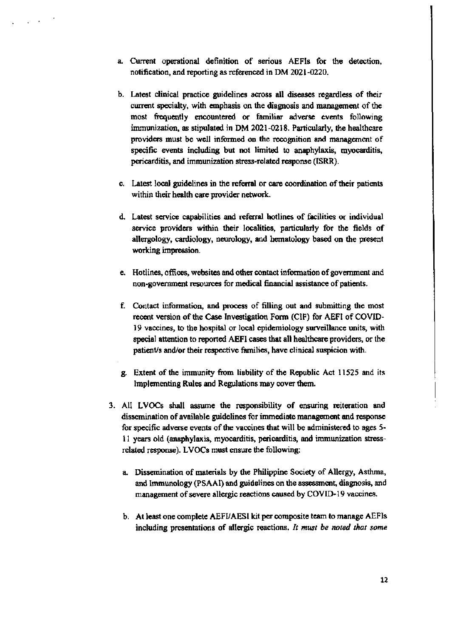- a. Current operational definition of serious AEFIs for the detection, notification, and reporting as referenced in DM 2021-0220.
- b. Latest clinical practice guidelines across all diseases regardless of their current specialty, with emphasis on the diagnosis and management of the most frequently encountered or familiar adverse events following immunization, as stipulated in DM 2021-0218. Particularly, the healthcare providers must be well informed on the recognition and management of specific events including but not limited to anaphylaxis, myocarditis, pericarditis, and immunization stress-related response (ISRR).
- c. Latest local guidelines in the referral or care coordination of their patients within their health care provider network.
- d. Latest service capabilities and referral hotlines of facilities or individual service providers within their localities, particularly for the fields of allergology, cardiology, neurology, and hematology based on the present working impression.
- e. Hotlines, offices, websites and other contact information of government and non-government resources for medical financial assistance of patients.
- f. Contact information, and process of filling out and submitting the most recent version of the Case Investigation Form (CIF) for AEFI of COVID-19 vaccines, to the hospital or local epidemiology surveillance units, with special attention to reported AEFI cases that all healthcare providers, or the patient/s and/or their respective families, have clinical suspicion with.
- g. Extent of the immunity from liability of the Republic Act 11525 and its Implementing Rules and Regulations may cover them.
- 3. All LVOCs shall assume the responsibility of ensuring reiteration and dissemination of available guidelines for immediate management and response for specific adverse events of the vaccines that will be administered to ages 5-11 years old (anaphylaxis, myocarditis, pericarditis, and immunization stressrelated response). LVOCs must ensure the following:
	- a. Dissemination of materials by the Philippine Society of Allergy, Asthma, and Immunology (PSAAI) and guidelines on the assessment, diagnosis, and management of severe allergic reactions caused by COVID-19 vaccines.
	- b. At least one complete AEFVAESI kit per composite team to manage AEFIs including presentations of allergic reactions. It must be noted that some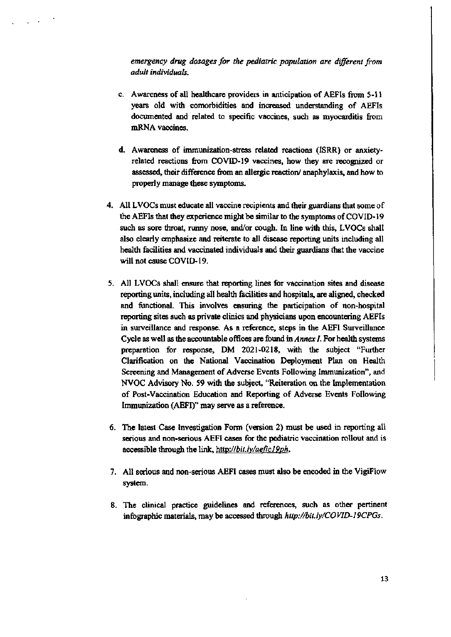emergency drug dosages for the pediatric population are different from adult individuals.

- c. Awareness of all healthcare providers in anticipation of AEFIs from 5-11 years old with comorbidities and increased understanding of AEFIs documented and related to specific vaccines, such as myocarditis from mRNA vaccines.
- d. Awareness of immunization-stress related reactions (ISRR) or anxietyrelated reactions from COVID-19 vaccines, how they are recognized or assessed, their difference from an allergic reaction/anaphylaxis, and how to properly manage these symptoms.
- 4. All LVOCs must educate all vaccine recipients and their guardians that some of the AEFIs that they experience might be similar to the symptoms of COVID-19 such as sore throat, runny nose, and/or cough. In line with this, LVOCs shall also clearly emphasize and reiterate to all disease reporting units including all health facilities and vaccinated individuals and their guardians that the vaccine will not cause COVID-19.
- 5. All LVOCs shall ensure that reporting lines for vaccination sites and disease reporting units, including all health facilities and hospitals, are aligned, checked and functional. This involves ensuring the participation of non-hospital reporting sites such as private clinics and physicians upon encountering AEFIs in surveillance and response. As a reference, steps in the AEFI Surveillance Cycle as well as the accountable offices are found in Annex I. For health systems preparation for response, DM 2021-0218, with the subject "Further Clarification on the National Vaccination Deployment Plan on Health Screening and Management of Adverse Events Following Immunization", and NVOC Advisory No. 59 with the subject, "Reiteration on the Implementation of Post-Vaccination Education and Reporting of Adverse Events Following Immunization (AEFI)" may serve as a reference.
- 6. The latest Case Investigation Form (version 2) must be used in reporting all serious and non-serious AEFI cases for the pediatric vaccination rollout and is accessible through the link, http://bit.ly/aefic19ph.
- 7. All serious and non-serious AEFI cases must also be encoded in the VigiFlow system.
- 8. The clinical practice guidelines and references, such as other pertinent infographic materials, may be accessed through http://bit.ly/COVID-19CPGs.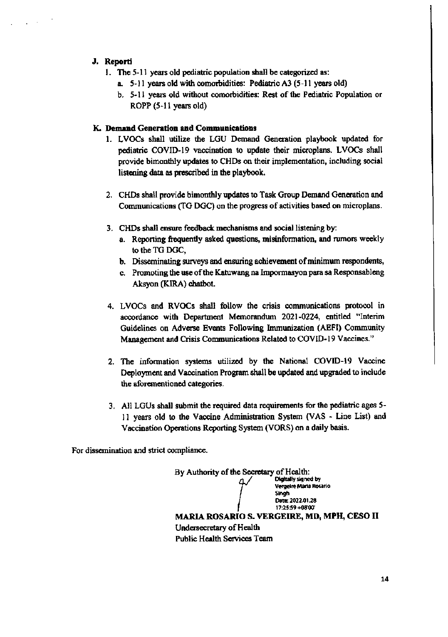# J. Reporti

- 1. The 5-11 years old pediatric population shall be categorized as:
	- a. 5-11 years old with comorbidities: Pediatric A3 (5-11 years old)
	- b. 5-11 years old without comorbidities: Rest of the Pediatric Population or ROPP (5-11 years old)

## K. Demand Generation and Communications

- 1. LVOCs shall utilize the LGU Demand Generation playbook updated for pediatric COVID-19 vaccination to update their microplans. LVOCs shall provide bimonthly updates to CHDs on their implementation, including social listening data as prescribed in the playbook.
- 2. CHDs shall provide bimonthly updates to Task Group Demand Generation and Communications (TG DGC) on the progress of activities based on microplans.
- 3. CHDs shall ensure feedback mechanisms and social listening by:
	- a. Reporting frequently asked questions, misinformation, and rumors weekly to the TG DGC,
	- b. Disseminating surveys and ensuring achievement of minimum respondents,
	- c. Promoting the use of the Katuwang na Impormasyon para sa Responsableng Aksyon (KIRA) chatbot.
- 4. LVOCs and RVOCs shall follow the crisis communications protocol in accordance with Department Memorandum 2021-0224, entitled "Interim Guidelines on Adverse Events Following Immunization (AEFI) Community Management and Crisis Communications Related to COVID-19 Vaccines."
- 2. The information systems utilized by the National COVID-19 Vaccine Deployment and Vaccination Program shall be updated and upgraded to include the aforementioned categories.
- 3. All LGUs shall submit the required data requirements for the pediatric ages 5-11 years old to the Vaccine Administration System (VAS - Line List) and Vaccination Operations Reporting System (VORS) on a daily basis.

For dissemination and strict compliance.

By Authority of the Secretary of Health: Digitally signed by Vergeire Maria Rosario Singh Date: 2022.01.28 17:25:59 +08'00" **MARIA ROSARIO S. VERGEIRE, MD, MPH, CESO II** Undersecretary of Health **Public Health Services Team**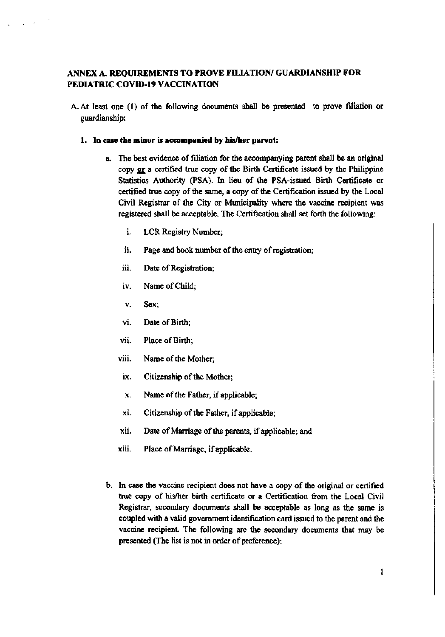# ANNEX A. REQUIREMENTS TO PROVE FILIATION/ GUARDIANSHIP FOR PEDIATRIC COVID-19 VACCINATION

A. At least one (1) of the following documents shall be presented to prove filiation or guardianship:

#### 1. In case the minor is accompanied by his/her parent:

- a. The best evidence of filiation for the accompanying parent shall be an original copy or a certified true copy of the Birth Certificate issued by the Philippine Statistics Authority (PSA). In lieu of the PSA-issued Birth Certificate or certified true copy of the same, a copy of the Certification issued by the Local Civil Registrar of the City or Municipality where the vaccine recipient was registered shall be acceptable. The Certification shall set forth the following:
	- i. LCR Registry Number.
	- ii. Page and book number of the entry of registration;
	- iii. Date of Registration;
	- iv. Name of Child;
	- v. Sex:
	- Date of Birth; vi.
	- vii. Place of Birth:
	- Name of the Mother; viii.
	- ix. Citizenship of the Mother;
	- Name of the Father, if applicable; X.
	- xi. Citizenship of the Father, if applicable;
	- Date of Marriage of the parents, if applicable; and xii.
	- xiii. Place of Marriage, if applicable.
- b. In case the vaccine recipient does not have a copy of the original or certified true copy of his/her birth certificate or a Certification from the Local Civil Registrar, secondary documents shall be acceptable as long as the same is coupled with a valid government identification card issued to the parent and the vaccine recipient. The following are the secondary documents that may be presented (The list is not in order of preference):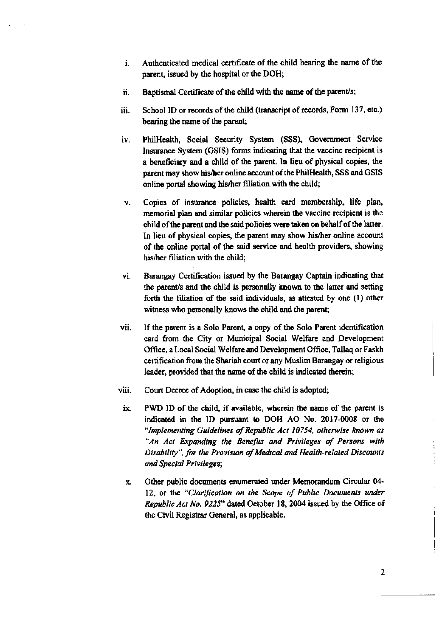- Authenticated medical certificate of the child bearing the name of the i. parent, issued by the hospital or the DOH;
- Baptismal Certificate of the child with the name of the parent/s; ii.
- School ID or records of the child (transcript of records, Form 137, etc.) iii. bearing the name of the parent;
- PhilHealth, Social Security System (SSS), Government Service iv. Insurance System (GSIS) forms indicating that the vaccine recipient is a beneficiary and a child of the parent. In lieu of physical copies, the parent may show his/her online account of the PhilHealth, SSS and GSIS online portal showing his/her filiation with the child;
- Copies of insurance policies, health card membership, life plan, V. memorial plan and similar policies wherein the vaccine recipient is the child of the parent and the said policies were taken on behalf of the latter. In lieu of physical copies, the parent may show his/her online account of the online portal of the said service and health providers, showing his/her filiation with the child;
- Barangay Certification issued by the Barangay Captain indicating that vi. the parent/s and the child is personally known to the latter and setting forth the filiation of the said individuals, as attested by one (1) other witness who personally knows the child and the parent;
- If the parent is a Solo Parent, a copy of the Solo Parent identification vii. card from the City or Municipal Social Welfare and Development Office, a Local Social Welfare and Development Office, Tallaq or Faskh certification from the Shariah court or any Muslim Barangay or religious leader, provided that the name of the child is indicated therein;
- Court Decree of Adoption, in case the child is adopted; viii.
- PWD ID of the child, if available, wherein the name of the parent is ix. indicated in the ID pursuant to DOH AO No. 2017-0008 or the "Implementing Guidelines of Republic Act 10754, otherwise known as "An Act Expanding the Benefits and Privileges of Persons with Disability", for the Provision of Medical and Health-related Discounts and Special Privileges;
- Other public documents enumerated under Memorandum Circular 04-X. 12, or the "Clarification on the Scope of Public Documents under Republic Act No. 9225" dated October 18, 2004 issued by the Office of the Civil Registrar General, as applicable.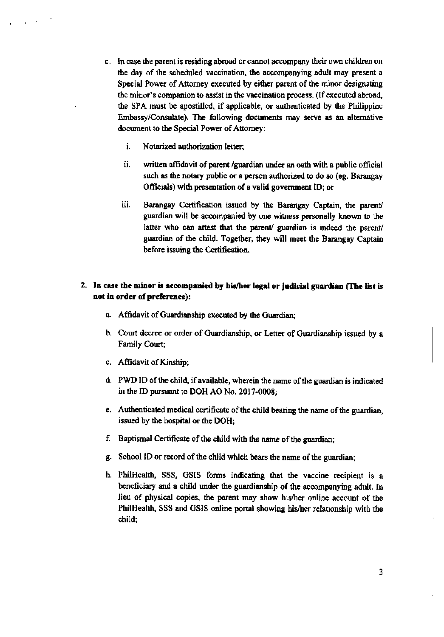- c. In case the parent is residing abroad or cannot accompany their own children on the day of the scheduled vaccination, the accompanying adult may present a Special Power of Attorney executed by either parent of the minor designating the minor's companion to assist in the vaccination process. (If executed abroad, the SPA must be apostilled, if applicable, or authenticated by the Philippine Embassy/Consulate). The following documents may serve as an alternative document to the Special Power of Attorney:
	- i. Notarized authorization letter;
	- ii. written affidavit of parent /guardian under an oath with a public official such as the notary public or a person authorized to do so (eg. Barangay Officials) with presentation of a valid government ID; or
	- iii. Barangay Certification issued by the Barangay Captain, the parent/ guardian will be accompanied by one witness personally known to the latter who can attest that the parent/ guardian is indeed the parent/ guardian of the child. Together, they will meet the Barangay Captain before issuing the Certification.

# 2. In case the minor is accompanied by his/her legal or judicial guardian (The list is not in order of preference):

- a. Affidavit of Guardianship executed by the Guardian;
- b. Court decree or order of Guardianship, or Letter of Guardianship issued by a Family Court;
- c. Affidavit of Kinship;
- d. PWD ID of the child, if available, wherein the name of the guardian is indicated in the ID pursuant to DOH AO No. 2017-0008;
- e. Authenticated medical certificate of the child bearing the name of the guardian, issued by the hospital or the DOH;
- f. Baptismal Certificate of the child with the name of the guardian;
- g. School ID or record of the child which bears the name of the guardian;
- h. PhilHealth, SSS, GSIS forms indicating that the vaccine recipient is a beneficiary and a child under the guardianship of the accompanying adult. In lieu of physical copies, the parent may show his/her online account of the PhilHealth, SSS and GSIS online portal showing his/her relationship with the child: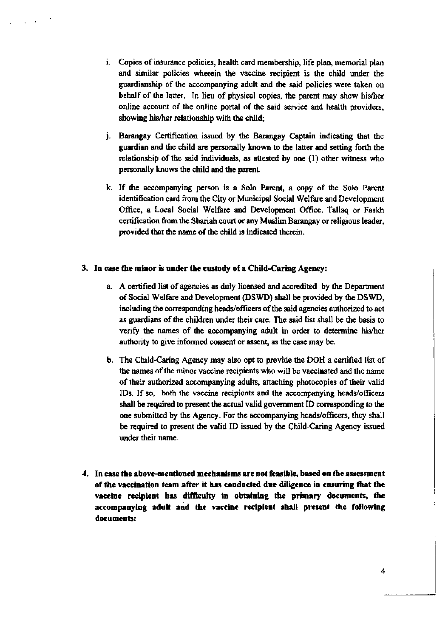- i. Copies of insurance policies, health card membership, life plan, memorial plan and similar policies wherein the vaccine recipient is the child under the guardianship of the accompanying adult and the said policies were taken on behalf of the latter. In lieu of physical copies, the parent may show his/her online account of the online portal of the said service and health providers, showing his/her relationship with the child;
- *i.* Barangay Certification issued by the Barangay Captain indicating that the guardian and the child are personally known to the latter and setting forth the relationship of the said individuals, as attested by one (1) other witness who personally knows the child and the parent.
- k. If the accompanying person is a Solo Parent, a copy of the Solo Parent identification card from the City or Municipal Social Welfare and Development Office, a Local Social Welfare and Development Office, Tallaq or Faskh certification from the Shariah court or any Muslim Barangay or religious leader. provided that the name of the child is indicated therein.

### 3. In case the minor is under the custody of a Child-Caring Agency:

- a. A certified list of agencies as duly licensed and accredited by the Department of Social Welfare and Development (DSWD) shall be provided by the DSWD, including the corresponding heads/officers of the said agencies authorized to act as guardians of the children under their care. The said list shall be the basis to verify the names of the accompanying adult in order to determine his/her authority to give informed consent or assent, as the case may be.
- b. The Child-Caring Agency may also opt to provide the DOH a certified list of the names of the minor vaccine recipients who will be vaccinated and the name of their authorized accompanying adults, attaching photocopies of their valid IDs. If so, both the vaccine recipients and the accompanying heads/officers shall be required to present the actual valid government ID corresponding to the one submitted by the Agency. For the accompanying heads/officers, they shall be required to present the valid ID issued by the Child-Caring Agency issued under their name.
- 4. In case the above-mentioned mechanisms are not feasible, based on the assessment of the vaccination team after it has conducted due diligence in ensuring that the vaccine recipient has difficulty in obtaining the primary documents, the accompanying adult and the vaccine recipient shall present the following documents: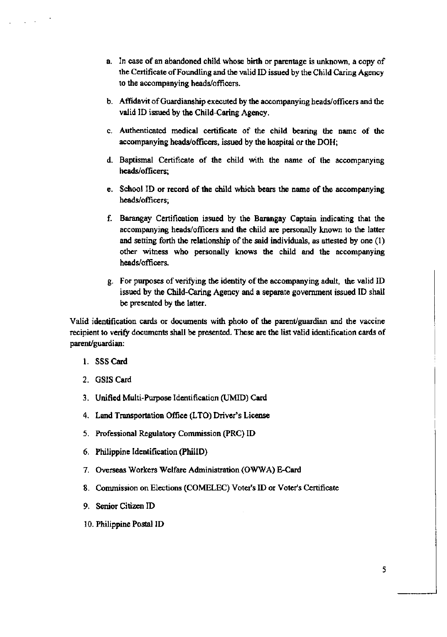- a. In case of an abandoned child whose birth or parentage is unknown, a copy of the Certificate of Foundling and the valid ID issued by the Child Caring Agency to the accompanying heads/officers.
- b. Affidavit of Guardianship executed by the accompanying heads/officers and the valid ID issued by the Child-Caring Agency.
- c. Authenticated medical certificate of the child bearing the name of the accompanying heads/officers, issued by the hospital or the DOH;
- d. Baptismal Certificate of the child with the name of the accompanying heads/officers;
- e. School ID or record of the child which bears the name of the accompanying heads/officers:
- f. Barangay Certification issued by the Barangay Captain indicating that the accompanying heads/officers and the child are personally known to the latter and setting forth the relationship of the said individuals, as attested by one (1) other witness who personally knows the child and the accompanying heads/officers.
- g. For purposes of verifying the identity of the accompanying adult, the valid ID issued by the Child-Caring Agency and a separate government issued ID shall be presented by the latter.

Valid identification cards or documents with photo of the parent/guardian and the vaccine recipient to verify documents shall be presented. These are the list valid identification cards of parent/guardian:

- 1. SSS Card
- 2. GSIS Card
- 3. Unified Multi-Purpose Identification (UMID) Card
- 4. Land Transportation Office (LTO) Driver's License
- 5. Professional Regulatory Commission (PRC) ID
- 6. Philippine Identification (PhilID)
- 7. Overseas Workers Welfare Administration (OWWA) E-Card
- 8. Commission on Elections (COMELEC) Voter's ID or Voter's Certificate
- 9. Senior Citizen ID
- 10. Philippine Postal ID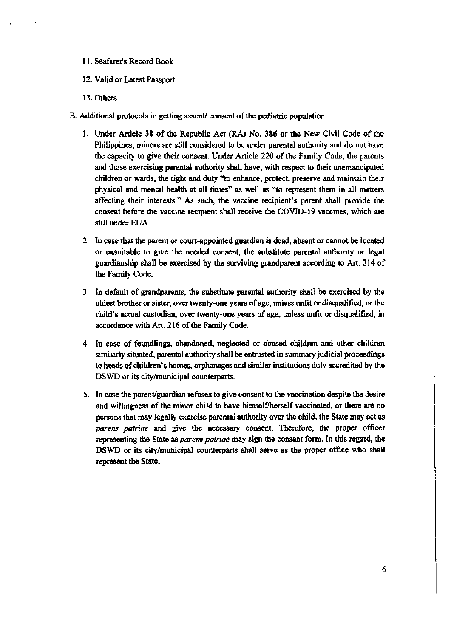## 11. Seafarer's Record Book

- 12. Valid or Latest Passport
- 13. Others
- B. Additional protocols in getting assent/consent of the pediatric population
	- 1. Under Article 38 of the Republic Act (RA) No. 386 or the New Civil Code of the Philippines, minors are still considered to be under parental authority and do not have the capacity to give their consent. Under Article 220 of the Family Code, the parents and those exercising parental authority shall have, with respect to their unemancipated children or wards, the right and duty "to enhance, protect, preserve and maintain their physical and mental health at all times" as well as "to represent them in all matters affecting their interests." As such, the vaccine recipient's parent shall provide the consent before the vaccine recipient shall receive the COVID-19 vaccines, which are still under EUA.
	- 2. In case that the parent or court-appointed guardian is dead, absent or cannot be located or unsuitable to give the needed consent, the substitute parental authority or legal guardianship shall be exercised by the surviving grandparent according to Art. 214 of the Family Code.
	- 3. In default of grandparents, the substitute parental authority shall be exercised by the oldest brother or sister, over twenty-one years of age, unless unfit or disqualified, or the child's actual custodian, over twenty-one years of age, unless unfit or disqualified, in accordance with Art. 216 of the Family Code.
	- 4. In case of foundlings, abandoned, neglected or abused children and other children similarly situated, parental authority shall be entrusted in summary judicial proceedings to heads of children's homes, orphanages and similar institutions duly accredited by the DSWD or its city/municipal counterparts.
	- 5. In case the parent/guardian refuses to give consent to the vaccination despite the desire and willingness of the minor child to have himself/herself vaccinated, or there are no persons that may legally exercise parental authority over the child, the State may act as parens patriae and give the necessary consent. Therefore, the proper officer representing the State as parens patriae may sign the consent form. In this regard, the DSWD or its city/municipal counterparts shall serve as the proper office who shall represent the State.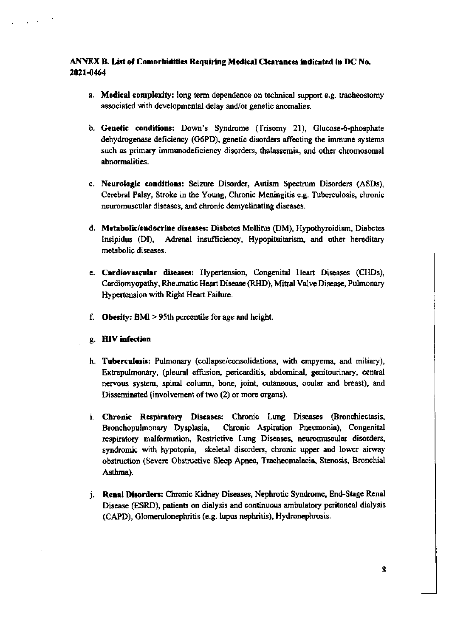# ANNEX B. List of Comorbidities Requiring Medical Clearances indicated in DC No. 2021-0464

- a. Medical complexity: long term dependence on technical support e.g. tracheostomy associated with developmental delay and/or genetic anomalies.
- b. Genetic conditions: Down's Syndrome (Trisomy 21), Glucose-6-phosphate dehydrogenase deficiency (G6PD), genetic disorders affecting the immune systems such as primary immunodeficiency disorders, thalassemia, and other chromosomal abnormalities.
- c. Neurologic conditions: Seizure Disorder, Autism Spectrum Disorders (ASDs), Cerebral Palsy, Stroke in the Young, Chronic Meningitis e.g. Tuberculosis, chronic neuromuscular diseases, and chronic demyelinating diseases.
- d. Metabolic/endocrine diseases: Diabetes Mellitus (DM), Hypothyroidism, Diabetes Insipidus (DI). Adrenal insufficiency, Hypopituitarism, and other hereditary metabolic diseases.
- e. Cardiovascular diseases: Hypertension, Congenital Heart Diseases (CHDs), Cardiomyopathy, Rheumatic Heart Disease (RHD), Mitral Valve Disease, Pulmonary Hypertension with Right Heart Failure.
- f. Obesity:  $BMI > 95th$  percentile for age and height.
- g. HIV infection
- h. Tuberculosis: Pulmonary (collapse/consolidations, with empyema, and miliary), Extrapulmonary, (pleural effusion, pericarditis, abdominal, genitourinary, central nervous system, spinal column, bone, joint, cutaneous, ocular and breast), and Disseminated (involvement of two (2) or more organs).
- i. Chronic Respiratory Diseases: Chronic Lung Diseases (Bronchiectasis, Bronchopulmonary Dysplasia, Chronic Aspiration Pneumonia), Congenital respiratory malformation, Restrictive Lung Diseases, neuromuscular disorders, syndromic with hypotonia, skeletal disorders, chronic upper and lower airway obstruction (Severe Obstructive Sleep Apnea, Tracheomalacia, Stenosis, Bronchial Asthma).
- j. Renal Disorders: Chronic Kidney Diseases, Nephrotic Syndrome, End-Stage Renal Disease (ESRD), patients on dialysis and continuous ambulatory peritoneal dialysis (CAPD), Glomerulonephritis (e.g. lupus nephritis), Hydronephrosis.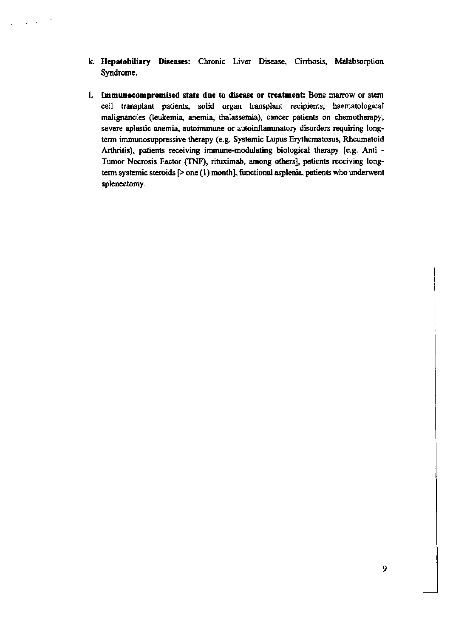- k. Hepatobiliary Diseases: Chronic Liver Disease, Cirrhosis, Malabsorption Syndrome.
- 1. Immunocompromised state due to disease or treatment: Bone marrow or stem cell transplant patients, solid organ transplant recipients, haematological malignancies (leukemia, anemia, thalassemia), cancer patients on chemotherapy, severe aplastic anemia, autoimmune or autoinflammatory disorders requiring longterm immunosuppressive therapy (e.g. Systemic Lupus Erythematosus, Rheumatoid Arthritis), patients receiving immune-modulating biological therapy [e.g. Anti -Tumor Necrosis Factor (TNF), rituximab, among others], patients receiving longterm systemic steroids  $[>$  one  $(1)$  month], functional asplenia, patients who underwent splenectomy.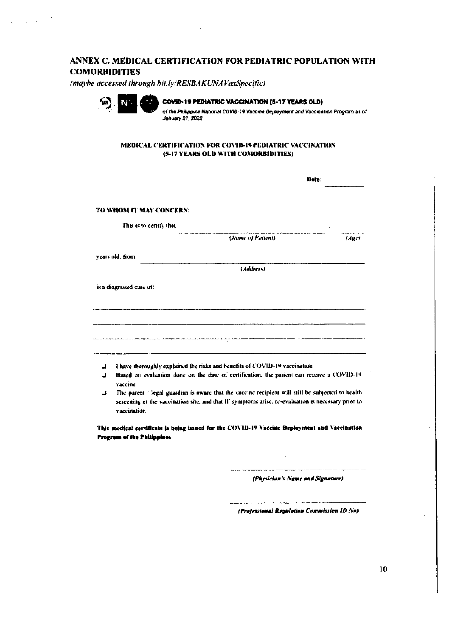# ANNEX C. MEDICAL CERTIFICATION FOR PEDIATRIC POPULATION WITH **COMORBIDITIES**

(maybe accessed through bit.ly/RESBAKUNAVaxSpecific)



 $\sqrt{1-\lambda^2}$ 

COVID-19 PEDIATRIC VACCINATION (5-17 YEARS OLD) of the Philippine National COVID-19 Vaccine Deployment and Vaccination Program as of **January 21, 2022** 

MEDICAL CERTIFICATION FOR COVID-19 PEDIATRIC VACCINATION (5-17 YEARS OLD WITH COMORBIDITIES)

|   | Date.                                                                                                               |  |  |  |
|---|---------------------------------------------------------------------------------------------------------------------|--|--|--|
|   | TO WHOM IT MAY CONCERN:                                                                                             |  |  |  |
|   | This is to certify that                                                                                             |  |  |  |
|   | (Name of Patient)<br>Liger                                                                                          |  |  |  |
|   | vears old, from                                                                                                     |  |  |  |
|   | (Address)                                                                                                           |  |  |  |
|   | is a diagnosed case of:                                                                                             |  |  |  |
|   |                                                                                                                     |  |  |  |
|   |                                                                                                                     |  |  |  |
|   |                                                                                                                     |  |  |  |
|   | .<br>Na historia de alemán de contra en terminal e de antiga de contra la contradición de contradición en terminado |  |  |  |
| J | I have thoroughly explained the risks and benefits of COVID-19 vaccination                                          |  |  |  |
| ᅽ | Based on evaluation done on the date of certification, the patient can receive a COVID-19<br>vaccine                |  |  |  |
| ᅶ | The parent / legal guardian is aware that the vaccine recipient will still be subjected to health                   |  |  |  |
|   | screening at the vaccination site, and that IF symptoms arise, re-evaluation is necessary prior to<br>vaccination   |  |  |  |
|   | This medical certificate is being issued for the COVID-19 Vaccine Deployment and Vaccination                        |  |  |  |
|   | Program of the Philippines                                                                                          |  |  |  |
|   |                                                                                                                     |  |  |  |
|   | (Physician's Name and Signature)                                                                                    |  |  |  |

(Professional Regulation Commission 1D No)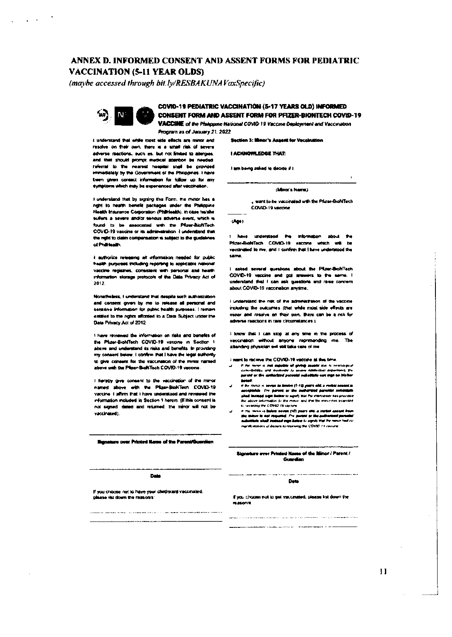# ANNEX D. INFORMED CONSENT AND ASSENT FORMS FOR PEDIATRIC **VACCINATION (5-11 YEAR OLDS)**

(maybe accessed through bit.ly/RESBAKUNAVaxSpecific)



COVID-19 PEDIATRIC VACCINATION (5-17 YEARS OLD) INFORMED CONSENT FORM AND ASSENT FORM FOR PFIZER-BIONTECH COVID-19

Program as of January 21, 2022.

i understand that while most side effects are minor and resolve on their own, there is a small risk of several adverse reactions, such as, but not limited to attempts. and that should prompt medical attention be needed referral to the rearced hospital shall be provided immediately by the Government of the Philippines. I have been alven contact information for follow up for any symptoms which may be expenienced after vaccination.

I understand that by signing this Form, the minor has a nghi to health benefit packages under the Philippine. Health Insurance Comoration (Phili-lealth), in case ha/she sullers a severe and/or second adverse event, which is found to be associated with the Pfizer-BioNTech COVID-19 vaccine or its administration. I understand that the right to claim compensation is subject to the guidalines of Problematic

I suthorize releasing all information needed for public health purposes including reporting to applicable national vaccine registries, consistent with personal and health information storage protocols of the Data Privacy Act of 2012

Nonetheless, I understand that despite such authorization and consent given by me to release all personal and sensitive information for public health purposes. I remain entitled to the rights afforded to a Data Subject under the Data Privacy Act of 2012

I have reviewed the information on risks and benefits of the Plizer-BioNTech COVID-19 vacone in Section 1. above and understand its risks and benefits. In providing my consent below. I confirm that I have the legal authority to give caneers for the vaccination of the minor named above with the Pfizer-BioNTech COVID-19 vaccine.

I hereby give consent to the vaccination of the minor named above with the Plizan-BioNTech COVID-19 vaccine. I affirm that I have understood and reviewed the information included in Section 1 herein, (If this consent is not signed, dated and returned, the minor will not be vaccinated).

**Signature over Printed Name of the Parent/Guerdien** 

**Date** 

If you choose not to have your child/ward vaccinated. **Lase Hist down the reason's:** 

.<br>La contrata de la componenta de la componenta de la componenta de la componenta de la componenta de la compon

VACCINE of the Philippine National COVID-19 Vaccine Deployment and Vaccination

Section 3: Minor's Assent for Vacalnation

**I ACKNOWLEDGE THAT:** 

I am being asked to deade if I.

(Minor's Name)

want to be vaccinated with the Pfizer-BroNTech. COVID-19 vaccine

 $(Age)$ 

have understeed the information about the Pfizer-BioNTech COVID-19 vacone which will be vaccinated to me, and I confirm that I have understood the 120710-0

i asked several questions about the Plizer-BiofiTech COVID-19 vaccine and got stressers to the same. I understand that I can see questions and rage concernabout COVID-19 vaccination anytime.

I understand the net of the administration of the vaccine including the outcomes (that while most side effects are minor and resolve on their own. There can be a rek for adverse reactions in rare circumstances.)

I know that I can stop at any time in the process of vaccination without anyone represending me. The abanding physician will still lake care of me

I want to receive the COVID-19 vaccine at this time

- to the moves is two exploite of giving assetts will be to neurological commissional commission of the movement of the movement of the movement of the movement of the movement of the movement of the movement of the movement **Boligii:**<br># Bu recor is seven to leethe (1-2.2 patri old, a vechii de<br># Bu recor is seven to leethe (1-2.2 patri old, a vechii de
- ol in <u>inter the second or the suffering account constitution</u> to receiving the COVID-19 squares and a surface and aggressive
- $\begin{minipage}{.4\textwidth} \begin{tabular}{l} \hline \textbf{a} & \textbf{a} & \textbf{a} & \textbf{a} & \textbf{a} & \textbf{a} & \textbf{a} & \textbf{a} & \textbf{a} & \textbf{a} & \textbf{a} & \textbf{a} & \textbf{a} & \textbf{a} & \textbf{a} & \textbf{a} & \textbf{a} & \textbf{a} & \textbf{a} & \textbf{a} & \textbf{a} & \textbf{a} & \textbf{a} & \textbf{a} & \textbf{a} & \textbf{a} & \textbf{a} & \textbf{a} &$ .<br>The set the sufficient of part who that the rames had co-

Standary over Printed Hame of the Minor / Parent / Guardian

Date:

If you choose not to get vaccinated, please hat down the **PERMITTE** 

.<br>Anglija je predstavan za oblasti za obestal za sedeljeno se se predstavanje se se se se se se se objavanje Ser 

 $\mathbf{1}$